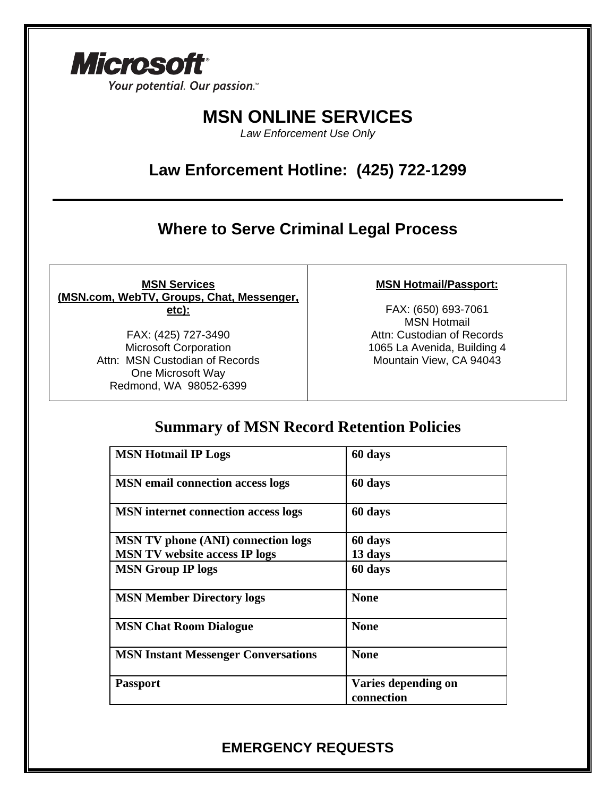

Your potential. Our passion.<sup>14</sup>

# **MSN ONLINE SERVICES**

*Law Enforcement Use Only*

## **Law Enforcement Hotline: (425) 722-1299**

### **Where to Serve Criminal Legal Process**

**MSN Services (MSN.com, WebTV, Groups, Chat, Messenger, etc):**

> FAX: (425) 727-3490 Microsoft Corporation Attn: MSN Custodian of Records One Microsoft Way Redmond, WA 98052-6399

#### **MSN Hotmail/Passport:**

FAX: (650) 693-7061 MSN Hotmail Attn: Custodian of Records 1065 La Avenida, Building 4 Mountain View, CA 94043

### **Summary of MSN Record Retention Policies**

| <b>MSN Hotmail IP Logs</b>                 | 60 days                           |
|--------------------------------------------|-----------------------------------|
| <b>MSN</b> email connection access logs    | 60 days                           |
| <b>MSN</b> internet connection access logs | 60 days                           |
| <b>MSN TV phone (ANI) connection logs</b>  | 60 days                           |
| <b>MSN TV website access IP logs</b>       | 13 days                           |
| <b>MSN Group IP logs</b>                   | 60 days                           |
| <b>MSN Member Directory logs</b>           | <b>None</b>                       |
| <b>MSN Chat Room Dialogue</b>              | <b>None</b>                       |
| <b>MSN Instant Messenger Conversations</b> | <b>None</b>                       |
| <b>Passport</b>                            | Varies depending on<br>connection |

### **EMERGENCY REQUESTS**